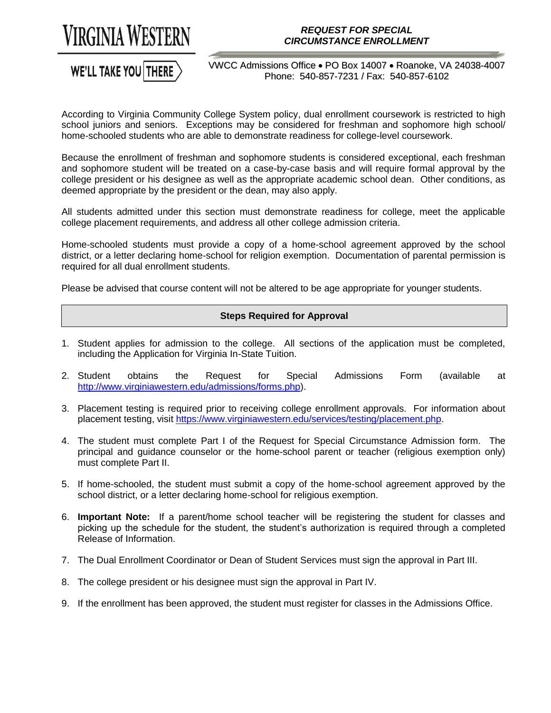

## *REQUEST FOR SPECIAL CIRCUMSTANCE ENROLLMENT*

## WE'LL TAKE YOU THERE

VWCC Admissions Office . PO Box 14007 . Roanoke, VA 24038-4007 Phone: 540-857-7231 / Fax: 540-857-6102

 According to Virginia Community College System policy, dual enrollment coursework is restricted to high school juniors and seniors. Exceptions may be considered for freshman and sophomore high school/ home-schooled students who are able to demonstrate readiness for college-level coursework.

home-schooled students who are able to demonstrate readiness for college-level coursework.<br>Because the enrollment of freshman and sophomore students is considered exceptional, each freshman and sophomore student will be treated on a case-by-case basis and will require formal approval by the college president or his designee as well as the appropriate academic school dean. Other conditions, as deemed appropriate by the president or the dean, may also apply.

 All students admitted under this section must demonstrate readiness for college, meet the applicable college placement requirements, and address all other college admission criteria.

college placement requirements, and address all other college admission criteria.<br>Home-schooled students must provide a copy of a home-school agreement approved by the school district, or a letter declaring home-school for religion exemption. Documentation of parental permission is required for all dual enrollment students.

Please be advised that course content will not be altered to be age appropriate for younger students.

## **Steps Required for Approval**

- 1.Student applies for admission to the college. All sections of the application must be completed, including the Application for Virginia In-State Tuition.
- obtains the Request for Special Admissions Form (available at [http://www.virginiawestern.edu/admissions/forms.php\)](http://www.virginiawestern.edu/admissions/forms.php).
- 3. Placement testing is required prior to receiving college enrollment approvals. For information about placement testing, visit [https://www.virginiawestern.edu/services/testing/placement.php.](https://www.virginiawestern.edu/services/testing/placement.php)
- 4.The student must complete Part I of the Request for Special Circumstance Admission form. The principal and guidance counselor or the home-school parent or teacher (religious exemption only) must complete Part II.
- 5. If home-schooled, the student must submit a copy of the home-school agreement approved by the school district, or a letter declaring home-school for religious exemption.
- 6. Important Note: If a parent/home school teacher will be registering the student for classes and picking up the schedule for the student, the student's authorization is required through a completed Release of Information.
- 7. The Dual Enrollment Coordinator or Dean of Student Services must sign the approval in Part III.
- 8.The college president or his designee must sign the approval in Part IV.
- 9. If the enrollment has been approved, the student must register for classes in the Admissions Office.